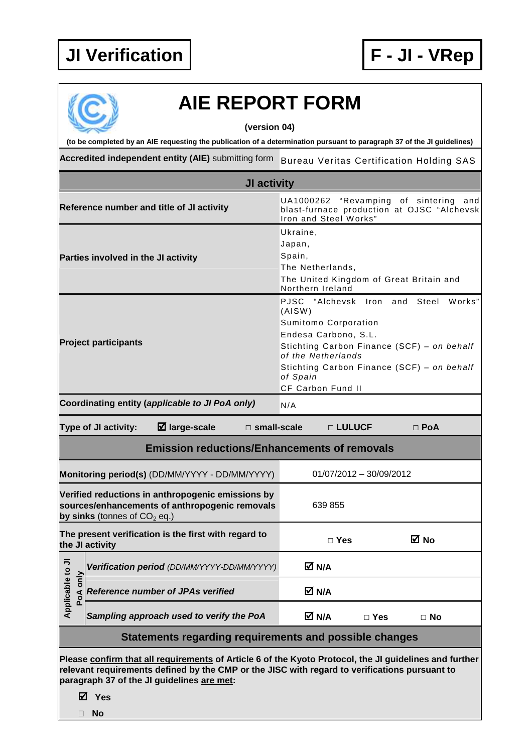

## **AIE REPORT FORM**

**(version 04)** 

**(to be completed by an AIE requesting the publication of a determination pursuant to paragraph 37 of the JI guidelines)** 

Accredited independent entity (AIE) submitting form Bureau Veritas Certification Holding SAS

| <b>JI activity</b>                                                                                                                                                                                                                                    |                                                                                                                                       |                                                                                                                                                                                                                                                            |  |  |  |  |
|-------------------------------------------------------------------------------------------------------------------------------------------------------------------------------------------------------------------------------------------------------|---------------------------------------------------------------------------------------------------------------------------------------|------------------------------------------------------------------------------------------------------------------------------------------------------------------------------------------------------------------------------------------------------------|--|--|--|--|
|                                                                                                                                                                                                                                                       | Reference number and title of JI activity                                                                                             | "Revamping of sintering<br>UA1000262<br>and<br>blast-furnace production at OJSC "Alchevsk<br>Iron and Steel Works"                                                                                                                                         |  |  |  |  |
| Parties involved in the JI activity                                                                                                                                                                                                                   |                                                                                                                                       | Ukraine,<br>Japan,<br>Spain,<br>The Netherlands,<br>The United Kingdom of Great Britain and<br>Northern Ireland                                                                                                                                            |  |  |  |  |
| <b>Project participants</b>                                                                                                                                                                                                                           |                                                                                                                                       | PJSC<br>"Alchevsk Iron and<br>Steel<br>Works"<br>(AISW)<br>Sumitomo Corporation<br>Endesa Carbono, S.L.<br>Stichting Carbon Finance (SCF) - on behalf<br>of the Netherlands<br>Stichting Carbon Finance (SCF) - on behalf<br>of Spain<br>CF Carbon Fund II |  |  |  |  |
|                                                                                                                                                                                                                                                       | Coordinating entity (applicable to JI PoA only)                                                                                       | N/A                                                                                                                                                                                                                                                        |  |  |  |  |
|                                                                                                                                                                                                                                                       | $\boxtimes$ large-scale<br>Type of JI activity:<br>$\square$ small-scale                                                              | □ LULUCF<br>$\Box$ PoA                                                                                                                                                                                                                                     |  |  |  |  |
|                                                                                                                                                                                                                                                       | <b>Emission reductions/Enhancements of removals</b>                                                                                   |                                                                                                                                                                                                                                                            |  |  |  |  |
|                                                                                                                                                                                                                                                       | Monitoring period(s) (DD/MM/YYYY - DD/MM/YYYY)                                                                                        | 01/07/2012 - 30/09/2012                                                                                                                                                                                                                                    |  |  |  |  |
|                                                                                                                                                                                                                                                       | Verified reductions in anthropogenic emissions by<br>sources/enhancements of anthropogenic removals<br>by sinks (tonnes of $CO2$ eq.) | 639 855                                                                                                                                                                                                                                                    |  |  |  |  |
|                                                                                                                                                                                                                                                       | The present verification is the first with regard to<br>the JI activity                                                               | ⊠ No<br>$\Box$ Yes                                                                                                                                                                                                                                         |  |  |  |  |
| ⋾                                                                                                                                                                                                                                                     | Verification period (DD/MM/YYYY-DD/MM/YYYY)                                                                                           | M N/A                                                                                                                                                                                                                                                      |  |  |  |  |
| Applicable to<br>PoA only                                                                                                                                                                                                                             | <b>Reference number of JPAs verified</b>                                                                                              | M N/A                                                                                                                                                                                                                                                      |  |  |  |  |
|                                                                                                                                                                                                                                                       | Sampling approach used to verify the PoA                                                                                              | M N/A<br>$\Box$ Yes<br>$\Box$ No                                                                                                                                                                                                                           |  |  |  |  |
| Statements regarding requirements and possible changes                                                                                                                                                                                                |                                                                                                                                       |                                                                                                                                                                                                                                                            |  |  |  |  |
| Please confirm that all requirements of Article 6 of the Kyoto Protocol, the JI guidelines and further<br>relevant requirements defined by the CMP or the JISC with regard to verifications pursuant to<br>paragraph 37 of the JI guidelines are met: |                                                                                                                                       |                                                                                                                                                                                                                                                            |  |  |  |  |

**Yes** 

**No**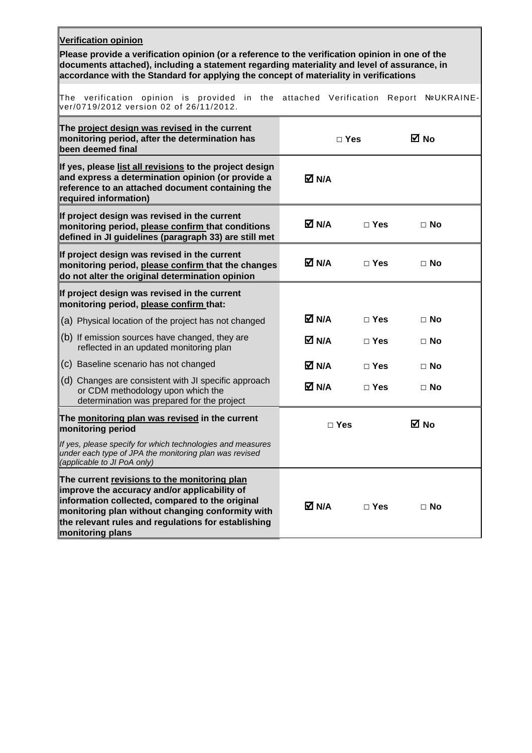| <b>Verification opinion</b><br>Please provide a verification opinion (or a reference to the verification opinion in one of the<br>documents attached), including a statement regarding materiality and level of assurance, in<br>accordance with the Standard for applying the concept of materiality in verifications |            |               |                   |  |  |  |  |
|------------------------------------------------------------------------------------------------------------------------------------------------------------------------------------------------------------------------------------------------------------------------------------------------------------------------|------------|---------------|-------------------|--|--|--|--|
| The verification opinion is provided in the attached<br>ver/0719/2012 version 02 of 26/11/2012.                                                                                                                                                                                                                        |            | Verification  | Report NºUKRAINE- |  |  |  |  |
| The project design was revised in the current<br>monitoring period, after the determination has<br>been deemed final                                                                                                                                                                                                   |            | $\Box$ Yes    | ⊠ No              |  |  |  |  |
| If yes, please list all revisions to the project design<br>and express a determination opinion (or provide a<br>reference to an attached document containing the<br>required information)                                                                                                                              | M N/A      |               |                   |  |  |  |  |
| If project design was revised in the current<br>monitoring period, please confirm that conditions<br>defined in JI guidelines (paragraph 33) are still met                                                                                                                                                             | M N/A      | $\Box$ Yes    | $\Box$ No         |  |  |  |  |
| If project design was revised in the current<br>monitoring period, please confirm that the changes<br>do not alter the original determination opinion                                                                                                                                                                  | M N/A      | $\Box$ Yes    | $\Box$ No         |  |  |  |  |
| If project design was revised in the current<br>monitoring period, please confirm that:                                                                                                                                                                                                                                |            |               |                   |  |  |  |  |
| (a) Physical location of the project has not changed                                                                                                                                                                                                                                                                   | M N/A      | $\square$ Yes | $\Box$ No         |  |  |  |  |
| $(6)$ If emission sources have changed, they are<br>reflected in an updated monitoring plan                                                                                                                                                                                                                            | M N/A      | $\Box$ Yes    | $\Box$ No         |  |  |  |  |
| (c) Baseline scenario has not changed                                                                                                                                                                                                                                                                                  | M N/A      | $\Box$ Yes    | $\Box$ No         |  |  |  |  |
| (d) Changes are consistent with JI specific approach<br>or CDM methodology upon which the<br>determination was prepared for the project                                                                                                                                                                                | M N/A      | $\Box$ Yes    | $\Box$ No         |  |  |  |  |
| The monitoring plan was revised in the current<br>monitoring period                                                                                                                                                                                                                                                    | $\Box$ Yes |               | M No              |  |  |  |  |
| If yes, please specify for which technologies and measures<br>under each type of JPA the monitoring plan was revised<br>(applicable to JI PoA only)                                                                                                                                                                    |            |               |                   |  |  |  |  |
| The current revisions to the monitoring plan<br>improve the accuracy and/or applicability of<br>information collected, compared to the original<br>monitoring plan without changing conformity with<br>the relevant rules and regulations for establishing<br>monitoring plans                                         | M N/A      | $\Box$ Yes    | $\Box$ No         |  |  |  |  |